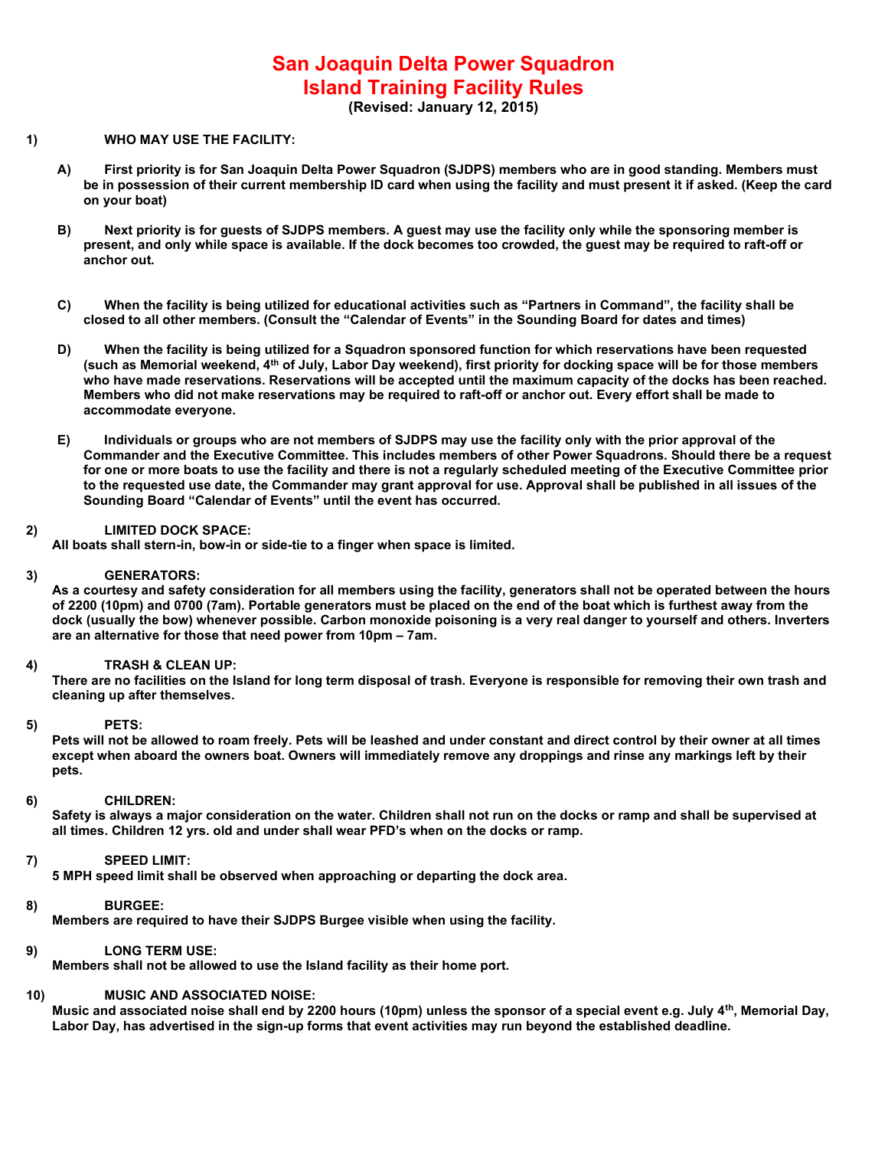# San Joaquin Delta Power Squadron Island Training Facility Rules

(Revised: January 12, 2015)

# 1) WHO MAY USE THE FACILITY:

- A) First priority is for San Joaquin Delta Power Squadron (SJDPS) members who are in good standing. Members must be in possession of their current membership ID card when using the facility and must present it if asked. (Keep the card on your boat)
- B) Next priority is for guests of SJDPS members. A guest may use the facility only while the sponsoring member is present, and only while space is available. If the dock becomes too crowded, the guest may be required to raft-off or anchor out.
- C) When the facility is being utilized for educational activities such as "Partners in Command", the facility shall be closed to all other members. (Consult the "Calendar of Events" in the Sounding Board for dates and times)
- D) When the facility is being utilized for a Squadron sponsored function for which reservations have been requested (such as Memorial weekend, 4th of July, Labor Day weekend), first priority for docking space will be for those members who have made reservations. Reservations will be accepted until the maximum capacity of the docks has been reached. Members who did not make reservations may be required to raft-off or anchor out. Every effort shall be made to accommodate everyone.
- E) Individuals or groups who are not members of SJDPS may use the facility only with the prior approval of the Commander and the Executive Committee. This includes members of other Power Squadrons. Should there be a request for one or more boats to use the facility and there is not a regularly scheduled meeting of the Executive Committee prior to the requested use date, the Commander may grant approval for use. Approval shall be published in all issues of the Sounding Board "Calendar of Events" until the event has occurred.

# 2) LIMITED DOCK SPACE:

All boats shall stern-in, bow-in or side-tie to a finger when space is limited.

## 3) GENERATORS:

As a courtesy and safety consideration for all members using the facility, generators shall not be operated between the hours of 2200 (10pm) and 0700 (7am). Portable generators must be placed on the end of the boat which is furthest away from the dock (usually the bow) whenever possible. Carbon monoxide poisoning is a very real danger to yourself and others. Inverters are an alternative for those that need power from 10pm – 7am.

# 4) TRASH & CLEAN UP:

There are no facilities on the Island for long term disposal of trash. Everyone is responsible for removing their own trash and cleaning up after themselves.

## 5) PETS:

Pets will not be allowed to roam freely. Pets will be leashed and under constant and direct control by their owner at all times except when aboard the owners boat. Owners will immediately remove any droppings and rinse any markings left by their pets.

### 6) CHILDREN:

Safety is always a major consideration on the water. Children shall not run on the docks or ramp and shall be supervised at all times. Children 12 yrs. old and under shall wear PFD's when on the docks or ramp.

# 7) SPEED LIMIT:

5 MPH speed limit shall be observed when approaching or departing the dock area.

### 8) BURGEE:

Members are required to have their SJDPS Burgee visible when using the facility.

### 9) LONG TERM USE:

Members shall not be allowed to use the Island facility as their home port.

## 10) MUSIC AND ASSOCIATED NOISE:

Music and associated noise shall end by 2200 hours (10pm) unless the sponsor of a special event e.g. July 4<sup>th</sup>, Memorial Day, Labor Day, has advertised in the sign-up forms that event activities may run beyond the established deadline.